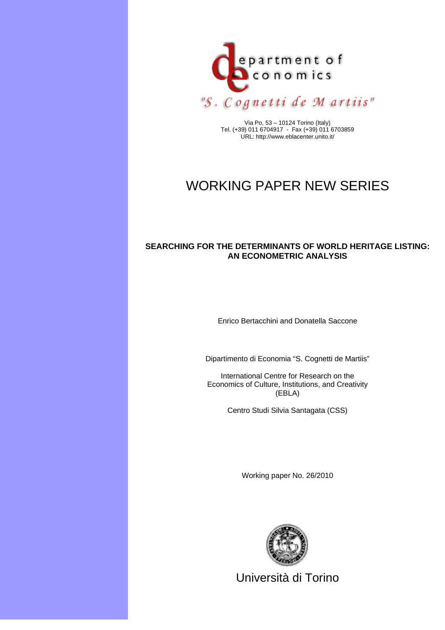

Via Po, 53 – 10124 Torino (Italy) Tel. (+39) 011 6704917 - Fax (+39) 011 6703859 URL: http://www.eblacenter.unito.it/

# WORKING PAPER NEW SERIES

## **SEARCHING FOR THE DETERMINANTS OF WORLD HERITAGE LISTING: AN ECONOMETRIC ANALYSIS**

Enrico Bertacchini and Donatella Saccone

Dipartimento di Economia "S. Cognetti de Martiis"

International Centre for Research on the Economics of Culture, Institutions, and Creativity (EBLA)

Centro Studi Silvia Santagata (CSS)

Working paper No. 26/2010



Università di Torino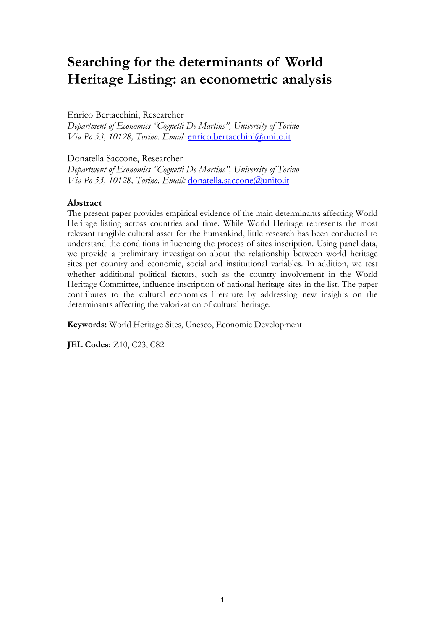# **Searching for the determinants of World Heritage Listing: an econometric analysis**

### Enrico Bertacchini, Researcher

*Department of Economics "Cognetti De Martins", University of Torino Via Po 53, 10128, Torino. Email:* enrico.bertacchini@unito.it

Donatella Saccone, Researcher

*Department of Economics "Cognetti De Martins", University of Torino Via Po 53, 10128, Torino. Email:* donatella.saccone@unito.it

### **Abstract**

The present paper provides empirical evidence of the main determinants affecting World Heritage listing across countries and time. While World Heritage represents the most relevant tangible cultural asset for the humankind, little research has been conducted to understand the conditions influencing the process of sites inscription. Using panel data, we provide a preliminary investigation about the relationship between world heritage sites per country and economic, social and institutional variables. In addition, we test whether additional political factors, such as the country involvement in the World Heritage Committee, influence inscription of national heritage sites in the list. The paper contributes to the cultural economics literature by addressing new insights on the determinants affecting the valorization of cultural heritage.

**Keywords:** World Heritage Sites, Unesco, Economic Development

**JEL Codes:** Z10, C23, C82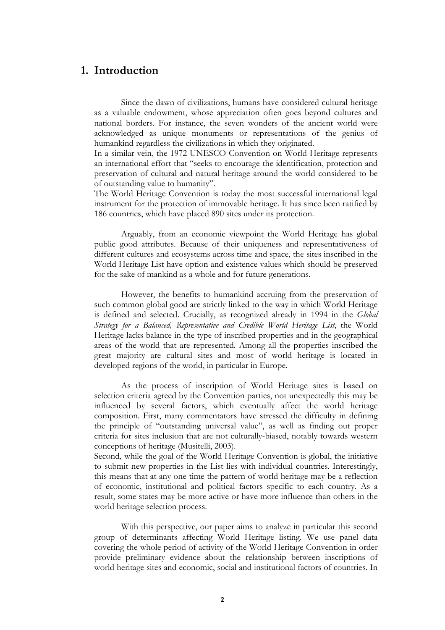# **1. Introduction**

Since the dawn of civilizations, humans have considered cultural heritage as a valuable endowment, whose appreciation often goes beyond cultures and national borders. For instance, the seven wonders of the ancient world were acknowledged as unique monuments or representations of the genius of humankind regardless the civilizations in which they originated.

In a similar vein, the 1972 UNESCO Convention on World Heritage represents an international effort that "seeks to encourage the identification, protection and preservation of cultural and natural heritage around the world considered to be of outstanding value to humanity".

The World Heritage Convention is today the most successful international legal instrument for the protection of immovable heritage. It has since been ratified by 186 countries, which have placed 890 sites under its protection.

Arguably, from an economic viewpoint the World Heritage has global public good attributes. Because of their uniqueness and representativeness of different cultures and ecosystems across time and space, the sites inscribed in the World Heritage List have option and existence values which should be preserved for the sake of mankind as a whole and for future generations.

However, the benefits to humankind accruing from the preservation of such common global good are strictly linked to the way in which World Heritage is defined and selected. Crucially, as recognized already in 1994 in the *Global Strategy for a Balanced, Representative and Credible World Heritage List*, the World Heritage lacks balance in the type of inscribed properties and in the geographical areas of the world that are represented. Among all the properties inscribed the great majority are cultural sites and most of world heritage is located in developed regions of the world, in particular in Europe.

As the process of inscription of World Heritage sites is based on selection criteria agreed by the Convention parties, not unexpectedly this may be influenced by several factors, which eventually affect the world heritage composition. First, many commentators have stressed the difficulty in defining the principle of "outstanding universal value", as well as finding out proper criteria for sites inclusion that are not culturally-biased, notably towards western conceptions of heritage (Musitelli, 2003).

Second, while the goal of the World Heritage Convention is global, the initiative to submit new properties in the List lies with individual countries. Interestingly, this means that at any one time the pattern of world heritage may be a reflection of economic, institutional and political factors specific to each country. As a result, some states may be more active or have more influence than others in the world heritage selection process.

With this perspective, our paper aims to analyze in particular this second group of determinants affecting World Heritage listing. We use panel data covering the whole period of activity of the World Heritage Convention in order provide preliminary evidence about the relationship between inscriptions of world heritage sites and economic, social and institutional factors of countries. In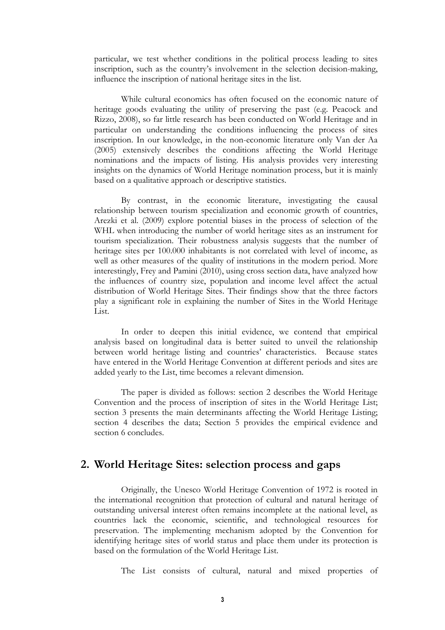particular, we test whether conditions in the political process leading to sites inscription, such as the country's involvement in the selection decision-making, influence the inscription of national heritage sites in the list.

While cultural economics has often focused on the economic nature of heritage goods evaluating the utility of preserving the past (e.g. Peacock and Rizzo, 2008), so far little research has been conducted on World Heritage and in particular on understanding the conditions influencing the process of sites inscription. In our knowledge, in the non-economic literature only Van der Aa (2005) extensively describes the conditions affecting the World Heritage nominations and the impacts of listing. His analysis provides very interesting insights on the dynamics of World Heritage nomination process, but it is mainly based on a qualitative approach or descriptive statistics.

By contrast, in the economic literature, investigating the causal relationship between tourism specialization and economic growth of countries, Arezki et al. (2009) explore potential biases in the process of selection of the WHL when introducing the number of world heritage sites as an instrument for tourism specialization. Their robustness analysis suggests that the number of heritage sites per 100.000 inhabitants is not correlated with level of income, as well as other measures of the quality of institutions in the modern period. More interestingly, Frey and Pamini (2010), using cross section data, have analyzed how the influences of country size, population and income level affect the actual distribution of World Heritage Sites. Their findings show that the three factors play a significant role in explaining the number of Sites in the World Heritage List.

In order to deepen this initial evidence, we contend that empirical analysis based on longitudinal data is better suited to unveil the relationship between world heritage listing and countries' characteristics. Because states have entered in the World Heritage Convention at different periods and sites are added yearly to the List, time becomes a relevant dimension.

The paper is divided as follows: section 2 describes the World Heritage Convention and the process of inscription of sites in the World Heritage List; section 3 presents the main determinants affecting the World Heritage Listing; section 4 describes the data; Section 5 provides the empirical evidence and section 6 concludes.

# **2. World Heritage Sites: selection process and gaps**

Originally, the Unesco World Heritage Convention of 1972 is rooted in the international recognition that protection of cultural and natural heritage of outstanding universal interest often remains incomplete at the national level, as countries lack the economic, scientific, and technological resources for preservation. The implementing mechanism adopted by the Convention for identifying heritage sites of world status and place them under its protection is based on the formulation of the World Heritage List.

The List consists of cultural, natural and mixed properties of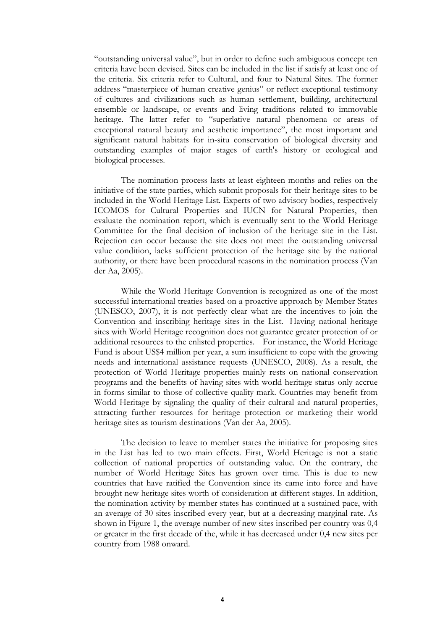"outstanding universal value", but in order to define such ambiguous concept ten criteria have been devised. Sites can be included in the list if satisfy at least one of the criteria. Six criteria refer to Cultural, and four to Natural Sites. The former address "masterpiece of human creative genius" or reflect exceptional testimony of cultures and civilizations such as human settlement, building, architectural ensemble or landscape, or events and living traditions related to immovable heritage. The latter refer to "superlative natural phenomena or areas of exceptional natural beauty and aesthetic importance", the most important and significant natural habitats for in-situ conservation of biological diversity and outstanding examples of major stages of earth's history or ecological and biological processes.

The nomination process lasts at least eighteen months and relies on the initiative of the state parties, which submit proposals for their heritage sites to be included in the World Heritage List. Experts of two advisory bodies, respectively ICOMOS for Cultural Properties and IUCN for Natural Properties, then evaluate the nomination report, which is eventually sent to the World Heritage Committee for the final decision of inclusion of the heritage site in the List. Rejection can occur because the site does not meet the outstanding universal value condition, lacks sufficient protection of the heritage site by the national authority, or there have been procedural reasons in the nomination process (Van der Aa, 2005).

While the World Heritage Convention is recognized as one of the most successful international treaties based on a proactive approach by Member States (UNESCO, 2007), it is not perfectly clear what are the incentives to join the Convention and inscribing heritage sites in the List. Having national heritage sites with World Heritage recognition does not guarantee greater protection of or additional resources to the enlisted properties. For instance, the World Heritage Fund is about US\$4 million per year, a sum insufficient to cope with the growing needs and international assistance requests (UNESCO, 2008). As a result, the protection of World Heritage properties mainly rests on national conservation programs and the benefits of having sites with world heritage status only accrue in forms similar to those of collective quality mark. Countries may benefit from World Heritage by signaling the quality of their cultural and natural properties, attracting further resources for heritage protection or marketing their world heritage sites as tourism destinations (Van der Aa, 2005).

The decision to leave to member states the initiative for proposing sites in the List has led to two main effects. First, World Heritage is not a static collection of national properties of outstanding value. On the contrary, the number of World Heritage Sites has grown over time. This is due to new countries that have ratified the Convention since its came into force and have brought new heritage sites worth of consideration at different stages. In addition, the nomination activity by member states has continued at a sustained pace, with an average of 30 sites inscribed every year, but at a decreasing marginal rate. As shown in Figure 1, the average number of new sites inscribed per country was 0,4 or greater in the first decade of the, while it has decreased under 0,4 new sites per country from 1988 onward.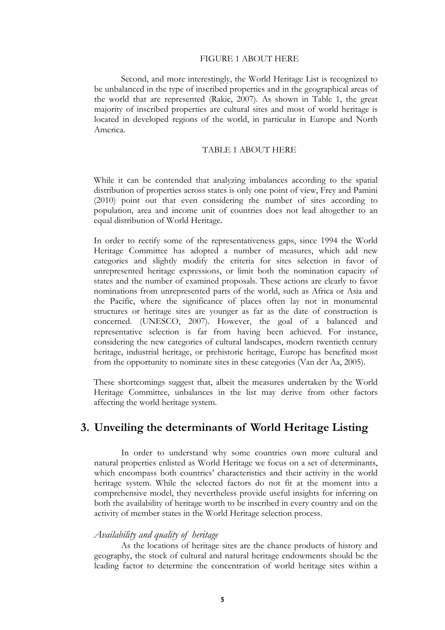#### FIGURE 1 ABOUT HERE

Second, and more interestingly, the World Heritage List is recognized to be unbalanced in the type of inscribed properties and in the geographical areas of the world that are represented (Rakic, 2007). As shown in Table 1, the great majority of inscribed properties are cultural sites and most of world heritage is located in developed regions of the world, in particular in Europe and North America.

#### TABLE 1 ABOUT HERE

While it can be contended that analyzing imbalances according to the spatial distribution of properties across states is only one point of view, Frey and Pamini (2010) point out that even considering the number of sites according to population, area and income unit of countries does not lead altogether to an equal distribution of World Heritage.

In order to rectify some of the representativeness gaps, since 1994 the World Heritage Committee has adopted a number of measures, which add new categories and slightly modify the criteria for sites selection in favor of unrepresented heritage expressions, or limit both the nomination capacity of states and the number of examined proposals. These actions are clearly to favor nominations from unrepresented parts of the world, such as Africa or Asia and the Pacific, where the significance of places often lay not in monumental structures or heritage sites are younger as far as the date of construction is concerned. (UNESCO, 2007). However, the goal of a balanced and representative selection is far from having been achieved. For instance, considering the new categories of cultural landscapes, modern twentieth century heritage, industrial heritage, or prehistoric heritage, Europe has benefited most from the opportunity to nominate sites in these categories (Van der Aa, 2005).

These shortcomings suggest that, albeit the measures undertaken by the World Heritage Committee, unbalances in the list may derive from other factors affecting the world heritage system.

# **3. Unveiling the determinants of World Heritage Listing**

In order to understand why some countries own more cultural and natural properties enlisted as World Heritage we focus on a set of determinants, which encompass both countries' characteristics and their activity in the world heritage system. While the selected factors do not fit at the moment into a comprehensive model, they nevertheless provide useful insights for inferring on both the availability of heritage worth to be inscribed in every country and on the activity of member states in the World Heritage selection process.

## *Availability and quality of heritage*

As the locations of heritage sites are the chance products of history and geography, the stock of cultural and natural heritage endowments should be the leading factor to determine the concentration of world heritage sites within a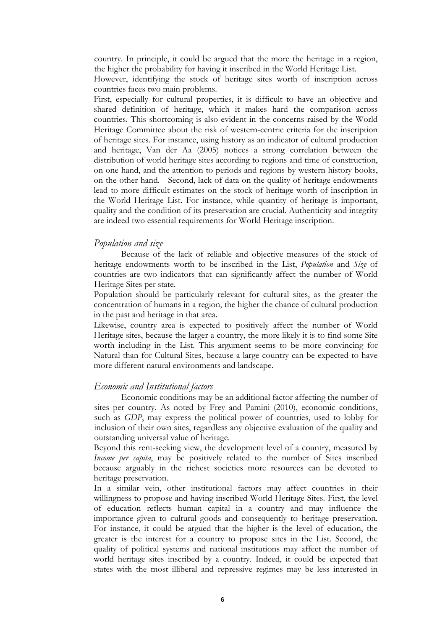country. In principle, it could be argued that the more the heritage in a region, the higher the probability for having it inscribed in the World Heritage List.

However, identifying the stock of heritage sites worth of inscription across countries faces two main problems.

First, especially for cultural properties, it is difficult to have an objective and shared definition of heritage, which it makes hard the comparison across countries. This shortcoming is also evident in the concerns raised by the World Heritage Committee about the risk of western-centric criteria for the inscription of heritage sites. For instance, using history as an indicator of cultural production and heritage, Van der Aa (2005) notices a strong correlation between the distribution of world heritage sites according to regions and time of construction, on one hand, and the attention to periods and regions by western history books, on the other hand. Second, lack of data on the quality of heritage endowments lead to more difficult estimates on the stock of heritage worth of inscription in the World Heritage List. For instance, while quantity of heritage is important, quality and the condition of its preservation are crucial. Authenticity and integrity are indeed two essential requirements for World Heritage inscription.

#### *Population and size*

Because of the lack of reliable and objective measures of the stock of heritage endowments worth to be inscribed in the List, *Population* and *Size* of countries are two indicators that can significantly affect the number of World Heritage Sites per state.

Population should be particularly relevant for cultural sites, as the greater the concentration of humans in a region, the higher the chance of cultural production in the past and heritage in that area.

Likewise, country area is expected to positively affect the number of World Heritage sites, because the larger a country, the more likely it is to find some Site worth including in the List. This argument seems to be more convincing for Natural than for Cultural Sites, because a large country can be expected to have more different natural environments and landscape.

#### *Economic and Institutional factors*

Economic conditions may be an additional factor affecting the number of sites per country. As noted by Frey and Pamini (2010), economic conditions, such as *GDP*, may express the political power of countries, used to lobby for inclusion of their own sites, regardless any objective evaluation of the quality and outstanding universal value of heritage.

Beyond this rent-seeking view, the development level of a country, measured by *Income per capita*, may be positively related to the number of Sites inscribed because arguably in the richest societies more resources can be devoted to heritage preservation.

In a similar vein, other institutional factors may affect countries in their willingness to propose and having inscribed World Heritage Sites. First, the level of education reflects human capital in a country and may influence the importance given to cultural goods and consequently to heritage preservation. For instance, it could be argued that the higher is the level of education, the greater is the interest for a country to propose sites in the List. Second, the quality of political systems and national institutions may affect the number of world heritage sites inscribed by a country. Indeed, it could be expected that states with the most illiberal and repressive regimes may be less interested in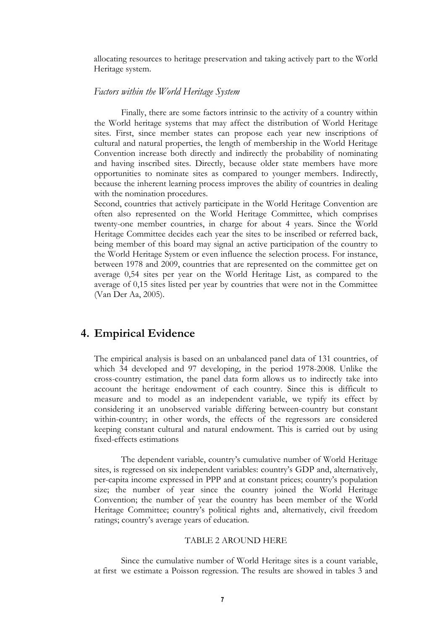allocating resources to heritage preservation and taking actively part to the World Heritage system.

#### *Factors within the World Heritage System*

Finally, there are some factors intrinsic to the activity of a country within the World heritage systems that may affect the distribution of World Heritage sites. First, since member states can propose each year new inscriptions of cultural and natural properties, the length of membership in the World Heritage Convention increase both directly and indirectly the probability of nominating and having inscribed sites. Directly, because older state members have more opportunities to nominate sites as compared to younger members. Indirectly, because the inherent learning process improves the ability of countries in dealing with the nomination procedures.

Second, countries that actively participate in the World Heritage Convention are often also represented on the World Heritage Committee, which comprises twenty-one member countries, in charge for about 4 years. Since the World Heritage Committee decides each year the sites to be inscribed or referred back, being member of this board may signal an active participation of the country to the World Heritage System or even influence the selection process. For instance, between 1978 and 2009, countries that are represented on the committee get on average 0,54 sites per year on the World Heritage List, as compared to the average of 0,15 sites listed per year by countries that were not in the Committee (Van Der Aa, 2005).

# **4. Empirical Evidence**

The empirical analysis is based on an unbalanced panel data of 131 countries, of which 34 developed and 97 developing, in the period 1978-2008. Unlike the cross-country estimation, the panel data form allows us to indirectly take into account the heritage endowment of each country. Since this is difficult to measure and to model as an independent variable, we typify its effect by considering it an unobserved variable differing between-country but constant within-country; in other words, the effects of the regressors are considered keeping constant cultural and natural endowment. This is carried out by using fixed-effects estimations

The dependent variable, country's cumulative number of World Heritage sites, is regressed on six independent variables: country's GDP and, alternatively, per-capita income expressed in PPP and at constant prices; country's population size; the number of year since the country joined the World Heritage Convention; the number of year the country has been member of the World Heritage Committee; country's political rights and, alternatively, civil freedom ratings; country's average years of education.

#### TABLE 2 AROUND HERE

Since the cumulative number of World Heritage sites is a count variable, at first we estimate a Poisson regression. The results are showed in tables 3 and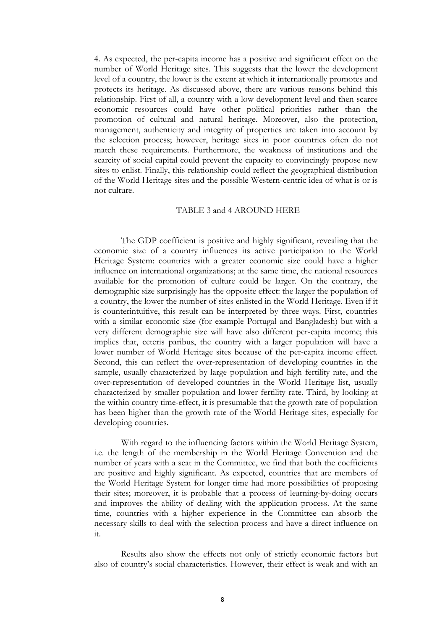4. As expected, the per-capita income has a positive and significant effect on the number of World Heritage sites. This suggests that the lower the development level of a country, the lower is the extent at which it internationally promotes and protects its heritage. As discussed above, there are various reasons behind this relationship. First of all, a country with a low development level and then scarce economic resources could have other political priorities rather than the promotion of cultural and natural heritage. Moreover, also the protection, management, authenticity and integrity of properties are taken into account by the selection process; however, heritage sites in poor countries often do not match these requirements. Furthermore, the weakness of institutions and the scarcity of social capital could prevent the capacity to convincingly propose new sites to enlist. Finally, this relationship could reflect the geographical distribution of the World Heritage sites and the possible Western-centric idea of what is or is not culture.

#### TABLE 3 and 4 AROUND HERE

The GDP coefficient is positive and highly significant, revealing that the economic size of a country influences its active participation to the World Heritage System: countries with a greater economic size could have a higher influence on international organizations; at the same time, the national resources available for the promotion of culture could be larger. On the contrary, the demographic size surprisingly has the opposite effect: the larger the population of a country, the lower the number of sites enlisted in the World Heritage. Even if it is counterintuitive, this result can be interpreted by three ways. First, countries with a similar economic size (for example Portugal and Bangladesh) but with a very different demographic size will have also different per-capita income; this implies that, ceteris paribus, the country with a larger population will have a lower number of World Heritage sites because of the per-capita income effect. Second, this can reflect the over-representation of developing countries in the sample, usually characterized by large population and high fertility rate, and the over-representation of developed countries in the World Heritage list, usually characterized by smaller population and lower fertility rate. Third, by looking at the within country time-effect, it is presumable that the growth rate of population has been higher than the growth rate of the World Heritage sites, especially for developing countries.

With regard to the influencing factors within the World Heritage System, i.e. the length of the membership in the World Heritage Convention and the number of years with a seat in the Committee, we find that both the coefficients are positive and highly significant. As expected, countries that are members of the World Heritage System for longer time had more possibilities of proposing their sites; moreover, it is probable that a process of learning-by-doing occurs and improves the ability of dealing with the application process. At the same time, countries with a higher experience in the Committee can absorb the necessary skills to deal with the selection process and have a direct influence on it.

Results also show the effects not only of strictly economic factors but also of country's social characteristics. However, their effect is weak and with an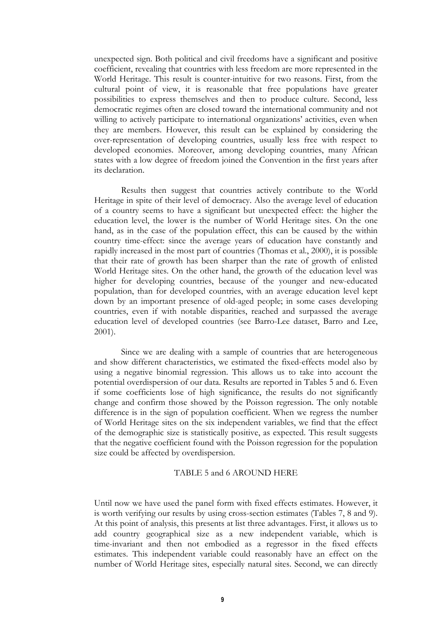unexpected sign. Both political and civil freedoms have a significant and positive coefficient, revealing that countries with less freedom are more represented in the World Heritage. This result is counter-intuitive for two reasons. First, from the cultural point of view, it is reasonable that free populations have greater possibilities to express themselves and then to produce culture. Second, less democratic regimes often are closed toward the international community and not willing to actively participate to international organizations' activities, even when they are members. However, this result can be explained by considering the over-representation of developing countries, usually less free with respect to developed economies. Moreover, among developing countries, many African states with a low degree of freedom joined the Convention in the first years after its declaration.

Results then suggest that countries actively contribute to the World Heritage in spite of their level of democracy. Also the average level of education of a country seems to have a significant but unexpected effect: the higher the education level, the lower is the number of World Heritage sites. On the one hand, as in the case of the population effect, this can be caused by the within country time-effect: since the average years of education have constantly and rapidly increased in the most part of countries (Thomas et al., 2000), it is possible that their rate of growth has been sharper than the rate of growth of enlisted World Heritage sites. On the other hand, the growth of the education level was higher for developing countries, because of the younger and new-educated population, than for developed countries, with an average education level kept down by an important presence of old-aged people; in some cases developing countries, even if with notable disparities, reached and surpassed the average education level of developed countries (see Barro-Lee dataset, Barro and Lee, 2001).

Since we are dealing with a sample of countries that are heterogeneous and show different characteristics, we estimated the fixed-effects model also by using a negative binomial regression. This allows us to take into account the potential overdispersion of our data. Results are reported in Tables 5 and 6. Even if some coefficients lose of high significance, the results do not significantly change and confirm those showed by the Poisson regression. The only notable difference is in the sign of population coefficient. When we regress the number of World Heritage sites on the six independent variables, we find that the effect of the demographic size is statistically positive, as expected. This result suggests that the negative coefficient found with the Poisson regression for the population size could be affected by overdispersion.

#### TABLE 5 and 6 AROUND HERE

Until now we have used the panel form with fixed effects estimates. However, it is worth verifying our results by using cross-section estimates (Tables 7, 8 and 9). At this point of analysis, this presents at list three advantages. First, it allows us to add country geographical size as a new independent variable, which is time-invariant and then not embodied as a regressor in the fixed effects estimates. This independent variable could reasonably have an effect on the number of World Heritage sites, especially natural sites. Second, we can directly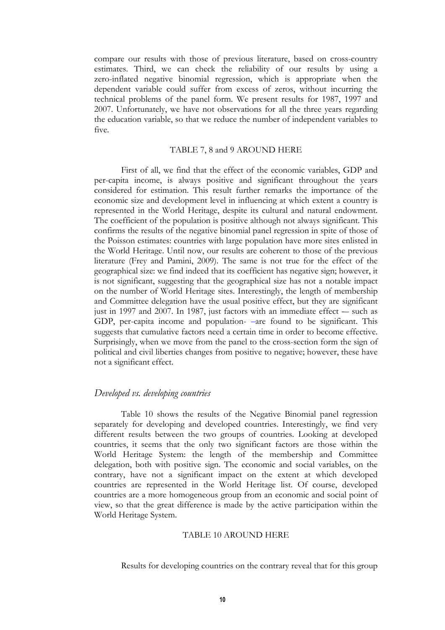compare our results with those of previous literature, based on cross-country estimates. Third, we can check the reliability of our results by using a zero-inflated negative binomial regression, which is appropriate when the dependent variable could suffer from excess of zeros, without incurring the technical problems of the panel form. We present results for 1987, 1997 and 2007. Unfortunately, we have not observations for all the three years regarding the education variable, so that we reduce the number of independent variables to five.

#### TABLE 7, 8 and 9 AROUND HERE

First of all, we find that the effect of the economic variables, GDP and per-capita income, is always positive and significant throughout the years considered for estimation. This result further remarks the importance of the economic size and development level in influencing at which extent a country is represented in the World Heritage, despite its cultural and natural endowment. The coefficient of the population is positive although not always significant. This confirms the results of the negative binomial panel regression in spite of those of the Poisson estimates: countries with large population have more sites enlisted in the World Heritage. Until now, our results are coherent to those of the previous literature (Frey and Pamini, 2009). The same is not true for the effect of the geographical size: we find indeed that its coefficient has negative sign; however, it is not significant, suggesting that the geographical size has not a notable impact on the number of World Heritage sites. Interestingly, the length of membership and Committee delegation have the usual positive effect, but they are significant just in 1997 and 2007. In 1987, just factors with an immediate effect  $-$  such as GDP, per-capita income and population- are found to be significant. This suggests that cumulative factors need a certain time in order to become effective. Surprisingly, when we move from the panel to the cross-section form the sign of political and civil liberties changes from positive to negative; however, these have not a significant effect.

#### *Developed vs. developing countries*

Table 10 shows the results of the Negative Binomial panel regression separately for developing and developed countries. Interestingly, we find very different results between the two groups of countries. Looking at developed countries, it seems that the only two significant factors are those within the World Heritage System: the length of the membership and Committee delegation, both with positive sign. The economic and social variables, on the contrary, have not a significant impact on the extent at which developed countries are represented in the World Heritage list. Of course, developed countries are a more homogeneous group from an economic and social point of view, so that the great difference is made by the active participation within the World Heritage System.

#### TABLE 10 AROUND HERE

Results for developing countries on the contrary reveal that for this group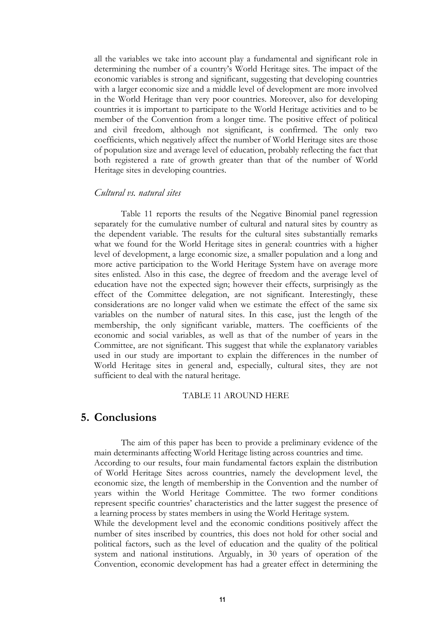all the variables we take into account play a fundamental and significant role in determining the number of a country's World Heritage sites. The impact of the economic variables is strong and significant, suggesting that developing countries with a larger economic size and a middle level of development are more involved in the World Heritage than very poor countries. Moreover, also for developing countries it is important to participate to the World Heritage activities and to be member of the Convention from a longer time. The positive effect of political and civil freedom, although not significant, is confirmed. The only two coefficients, which negatively affect the number of World Heritage sites are those of population size and average level of education, probably reflecting the fact that both registered a rate of growth greater than that of the number of World Heritage sites in developing countries.

## *Cultural vs. natural sites*

Table 11 reports the results of the Negative Binomial panel regression separately for the cumulative number of cultural and natural sites by country as the dependent variable. The results for the cultural sites substantially remarks what we found for the World Heritage sites in general: countries with a higher level of development, a large economic size, a smaller population and a long and more active participation to the World Heritage System have on average more sites enlisted. Also in this case, the degree of freedom and the average level of education have not the expected sign; however their effects, surprisingly as the effect of the Committee delegation, are not significant. Interestingly, these considerations are no longer valid when we estimate the effect of the same six variables on the number of natural sites. In this case, just the length of the membership, the only significant variable, matters. The coefficients of the economic and social variables, as well as that of the number of years in the Committee, are not significant. This suggest that while the explanatory variables used in our study are important to explain the differences in the number of World Heritage sites in general and, especially, cultural sites, they are not sufficient to deal with the natural heritage.

#### TABLE 11 AROUND HERE

# **5. Conclusions**

The aim of this paper has been to provide a preliminary evidence of the main determinants affecting World Heritage listing across countries and time. According to our results, four main fundamental factors explain the distribution of World Heritage Sites across countries, namely the development level, the economic size, the length of membership in the Convention and the number of years within the World Heritage Committee. The two former conditions represent specific countries' characteristics and the latter suggest the presence of a learning process by states members in using the World Heritage system.

While the development level and the economic conditions positively affect the number of sites inscribed by countries, this does not hold for other social and political factors, such as the level of education and the quality of the political system and national institutions. Arguably, in 30 years of operation of the Convention, economic development has had a greater effect in determining the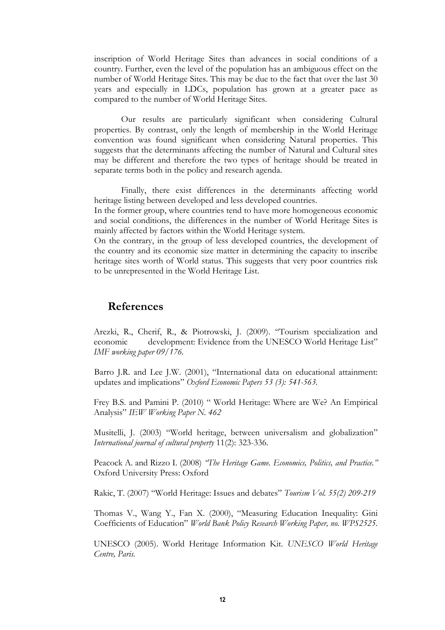inscription of World Heritage Sites than advances in social conditions of a country. Further, even the level of the population has an ambiguous effect on the number of World Heritage Sites. This may be due to the fact that over the last 30 years and especially in LDCs, population has grown at a greater pace as compared to the number of World Heritage Sites.

Our results are particularly significant when considering Cultural properties. By contrast, only the length of membership in the World Heritage convention was found significant when considering Natural properties. This suggests that the determinants affecting the number of Natural and Cultural sites may be different and therefore the two types of heritage should be treated in separate terms both in the policy and research agenda.

Finally, there exist differences in the determinants affecting world heritage listing between developed and less developed countries.

In the former group, where countries tend to have more homogeneous economic and social conditions, the differences in the number of World Heritage Sites is mainly affected by factors within the World Heritage system.

On the contrary, in the group of less developed countries, the development of the country and its economic size matter in determining the capacity to inscribe heritage sites worth of World status. This suggests that very poor countries risk to be unrepresented in the World Heritage List.

# **References**

Arezki, R., Cherif, R., & Piotrowski, J. (2009). "Tourism specialization and economic development: Evidence from the UNESCO World Heritage List" *IMF working paper 09/176.*

Barro J.R. and Lee J.W. (2001), "International data on educational attainment: updates and implications" *Oxford Economic Papers 53 (3): 541-563.*

Frey B.S. and Pamini P. (2010) " World Heritage: Where are We? An Empirical Analysis" *IEW Working Paper N. 462*

Musitelli, J. (2003) "World heritage, between universalism and globalization" *International journal of cultural property* 11(2): 323-336.

Peacock A. and Rizzo I. (2008) *"The Heritage Game. Economics, Politics, and Practice."* Oxford University Press: Oxford

Rakic, T. (2007) "World Heritage: Issues and debates" *Tourism Vol. 55(2) 209-219*

Thomas V., Wang Y., Fan X. (2000), "Measuring Education Inequality: Gini Coefficients of Education" *World Bank Policy Research Working Paper, no. WPS2525.*

UNESCO (2005). World Heritage Information Kit. *UNESCO World Heritage Centre, Paris.*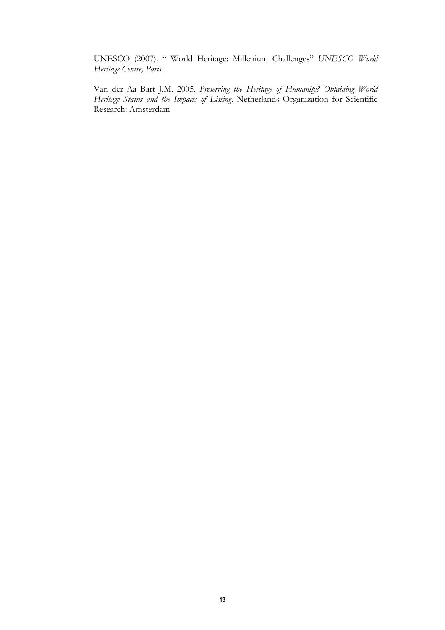UNESCO (2007). " World Heritage: Millenium Challenges" *UNESCO World Heritage Centre, Paris.*

Van der Aa Bart J.M. 2005. *Preserving the Heritage of Humanity? Obtaining World Heritage Status and the Impacts of Listing*. Netherlands Organization for Scientific Research: Amsterdam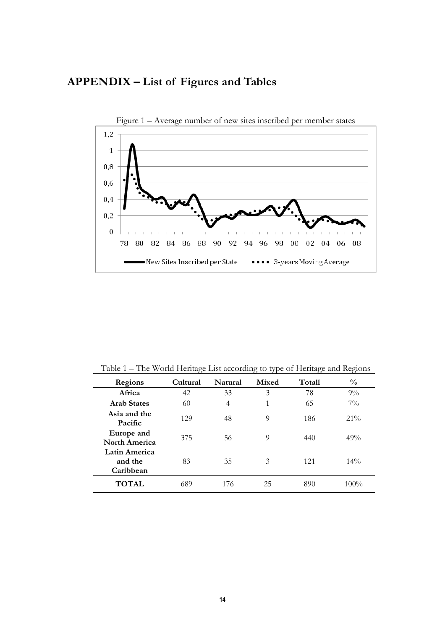



Table 1 – The World Heritage List according to type of Heritage and Regions

| Regions                                      | Cultural | Natural | Mixed | Totall | $\frac{0}{0}$ |
|----------------------------------------------|----------|---------|-------|--------|---------------|
| Africa                                       | 42       | 33      | 3     | 78     | $9\%$         |
| <b>Arab States</b>                           | 60       | 4       | 1     | 65     | $7\%$         |
| Asia and the<br>Pacific                      | 129      | 48      | 9     | 186    | $21\%$        |
| Europe and<br><b>North America</b>           | 375      | 56      | 9     | 440    | 49%           |
| <b>Latin America</b><br>and the<br>Caribbean | 83       | 35      | 3     | 121    | $14\%$        |
| <b>TOTAL</b>                                 | 689      | 176     | 25    | 890    | $100\%$       |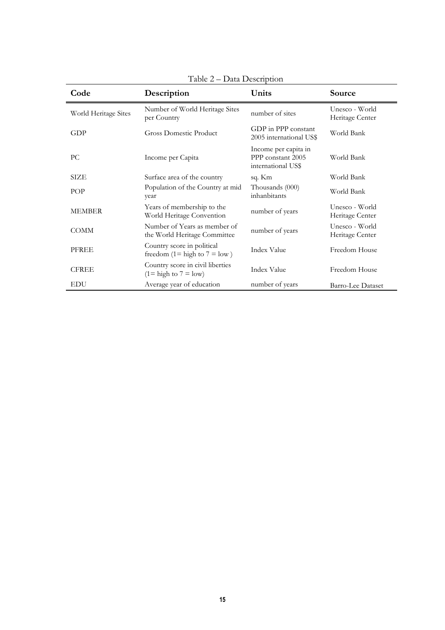|                      | $1$ abic $2 - Data Deschipuoni$                                            |                                                                 |                                   |
|----------------------|----------------------------------------------------------------------------|-----------------------------------------------------------------|-----------------------------------|
| Code                 | Description                                                                | Units                                                           | Source                            |
| World Heritage Sites | Number of World Heritage Sites<br>per Country                              | number of sites                                                 | Unesco - World<br>Heritage Center |
| GDP                  | <b>Gross Domestic Product</b>                                              | GDP in PPP constant<br>2005 international US\$                  | World Bank                        |
| PC.                  | Income per Capita                                                          | Income per capita in<br>PPP constant 2005<br>international US\$ | World Bank                        |
| SIZE                 | Surface area of the country                                                | sq. Km                                                          | World Bank                        |
| POP                  | Population of the Country at mid<br>year                                   | Thousands (000)<br>inhanbitants                                 | World Bank                        |
| <b>MEMBER</b>        | Years of membership to the<br>World Heritage Convention                    | number of years                                                 | Unesco - World<br>Heritage Center |
| <b>COMM</b>          | Number of Years as member of<br>the World Heritage Committee               | number of years                                                 | Unesco - World<br>Heritage Center |
| PFREE                | Country score in political<br>freedom (1= high to $7 =$ low)               | Index Value                                                     | Freedom House                     |
| <b>CFREE</b>         | Country score in civil liberties<br>$(1 = \text{high to } 7 = \text{low})$ | <b>Index Value</b>                                              | Freedom House                     |
| <b>EDU</b>           | Average year of education                                                  | number of years                                                 | <b>Barro-Lee Dataset</b>          |

Table 2 – Data Description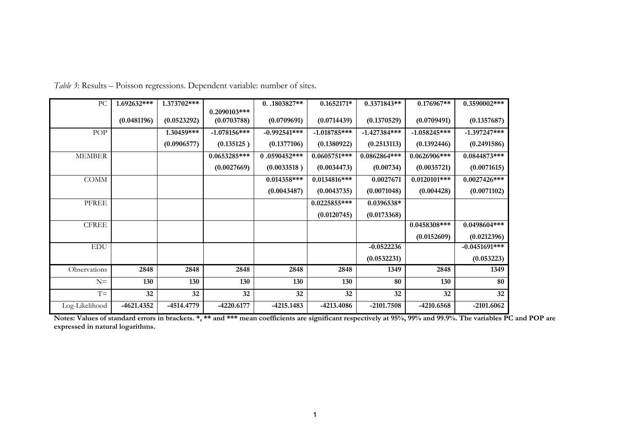| PC             | 1.692632*** | 1.373702*** |                | $0.1803827**$  | $0.1652171*$   | 0.3371843**    | $0.176967**$    | 0.3590002***    |
|----------------|-------------|-------------|----------------|----------------|----------------|----------------|-----------------|-----------------|
|                |             |             | $0.2090103***$ |                |                |                |                 |                 |
|                | (0.0481196) | (0.0523292) | (0.0703788)    | (0.0709691)    | (0.0714439)    | (0.1370529)    | (0.0709491)     | (0.1357687)     |
| POP            |             | 1.30459***  | $-1.078156***$ | $-0.992541***$ | $-1.018785***$ | $-1.427384***$ | $-1.058245***$  | $-1.397247***$  |
|                |             | (0.0906577) | (0.135125)     | (0.1377106)    | (0.1380922)    | (0.2513113)    | (0.1392446)     | (0.2491586)     |
| <b>MEMBER</b>  |             |             | $0.0653285***$ | $0.0590452***$ | $0.0605751***$ | 0.0862864***   | $0.0626906$ *** | $0.0844873***$  |
|                |             |             | (0.0027669)    | (0.0033518)    | (0.0034473)    | (0.00734)      | (0.0035721)     | (0.0071615)     |
| <b>COMM</b>    |             |             |                | $0.014358***$  | $0.0134816***$ | 0.0027671      | $0.0120101***$  | $0.0027426***$  |
|                |             |             |                | (0.0043487)    | (0.0043735)    | (0.0071048)    | (0.004428)      | (0.0071102)     |
| PFREE          |             |             |                |                | $0.0225855***$ | 0.0396538*     |                 |                 |
|                |             |             |                |                | (0.0120745)    | (0.0173368)    |                 |                 |
| <b>CFREE</b>   |             |             |                |                |                |                | $0.0458308***$  | 0.0498604***    |
|                |             |             |                |                |                |                | (0.0152609)     | (0.0212396)     |
| <b>EDU</b>     |             |             |                |                |                | $-0.0522236$   |                 | $-0.0451691***$ |
|                |             |             |                |                |                | (0.0532231)    |                 | (0.053223)      |
| Observations   | 2848        | 2848        | 2848           | 2848           | 2848           | 1349           | 2848            | 1349            |
| $N=$           | 130         | 130         | 130            | 130            | 130            | 80             | 130             | 80              |
| $T =$          | 32          | 32          | 32             | 32             | 32             | 32             | 32              | 32              |
| Log-Likelihood | -4621.4352  | -4514.4779  | $-4220.6177$   | $-4215.1483$   | -4213.4086     | -2101.7508     | -4210.6568      | $-2101,6062$    |

*Table 3*: Results – Poisson regressions. Dependent variable: number of sites.

**Notes: Values of standard errors in brackets. \*, \*\* and \*\*\* mean coefficients are significant respectively at 95%, 99% and 99.9%. The variables PC and POP are expressed in natural logarithms.**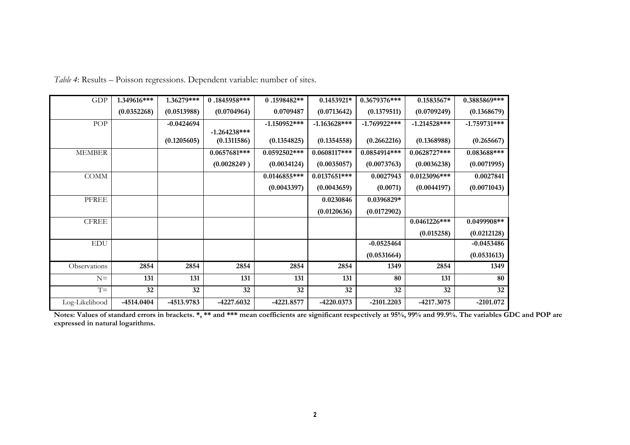| GDP            | 1.349616*** | 1.36279***   | 0.1845958***                  | 0.1598482**    | 0.1453921*      | 0.3679376***   | 0.1583567*      | 0.3885869***   |
|----------------|-------------|--------------|-------------------------------|----------------|-----------------|----------------|-----------------|----------------|
|                | (0.0352268) | (0.0513988)  | (0.0704964)                   | 0.0709487      | (0.0713642)     | (0.1379511)    | (0.0709249)     | (0.1368679)    |
| <b>POP</b>     |             | $-0.0424694$ |                               | $-1.150952***$ | $-1.163628$ *** | $-1.769922***$ | $-1.214528$ *** | $-1.759731***$ |
|                |             | (0.1205605)  | $-1.264238***$<br>(0.1311586) | (0.1354825)    | (0.1354558)     | (0.2662216)    | (0.1368988)     | (0.265667)     |
| <b>MEMBER</b>  |             |              | $0.0657681***$                | $0.0592502***$ | $0.0608117***$  | 0.0854914***   | $0.0628727***$  | $0.083688***$  |
|                |             |              | (0.0028249)                   | (0.0034124)    | (0.0035057)     | (0.0073763)    | (0.0036238)     | (0.0071995)    |
| <b>COMM</b>    |             |              |                               | $0.0146855***$ | $0.0137651***$  | 0.0027943      | $0.0123096$ *** | 0.0027841      |
|                |             |              |                               | (0.0043397)    | (0.0043659)     | (0.0071)       | (0.0044197)     | (0.0071043)    |
| PFREE          |             |              |                               |                | 0.0230846       | 0.0396829*     |                 |                |
|                |             |              |                               |                | (0.0120636)     | (0.0172902)    |                 |                |
| <b>CFREE</b>   |             |              |                               |                |                 |                | $0.0461226***$  | 0.0499908**    |
|                |             |              |                               |                |                 |                | (0.015258)      | (0.0212128)    |
| <b>EDU</b>     |             |              |                               |                |                 | $-0.0525464$   |                 | $-0.0453486$   |
|                |             |              |                               |                |                 | (0.0531664)    |                 | (0.0531613)    |
| Observations   | 2854        | 2854         | 2854                          | 2854           | 2854            | 1349           | 2854            | 1349           |
| $N=$           | 131         | 131          | 131                           | 131            | 131             | 80             | 131             | 80             |
| $T =$          | 32          | 32           | 32                            | 32             | 32              | 32             | 32              | 32             |
| Log-Likelihood | -4514.0404  | -4513.9783   | -4227.6032                    | -4221.8577     | $-4220.0373$    | $-2101,2203$   | -4217.3075      | $-2101.072$    |

*Table 4*: Results – Poisson regressions. Dependent variable: number of sites.

**Notes: Values of standard errors in brackets. \*, \*\* and \*\*\* mean coefficients are significant respectively at 95%, 99% and 99.9%. The variables GDC and POP are expressed in natural logarithms.**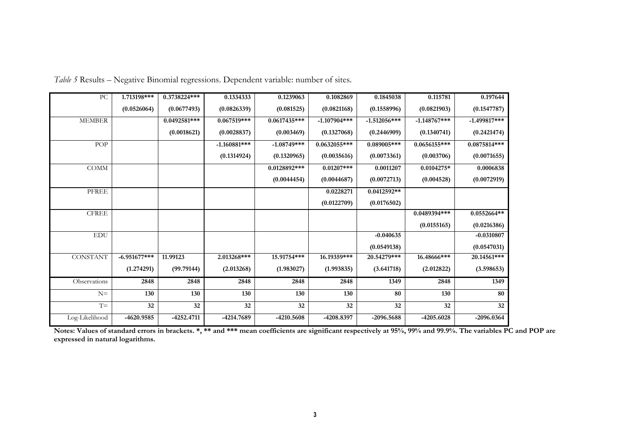| PC              | 1.713198***    | 0.3738224***   | 0.1334333      | 0.1239063      | 0.1082869      | 0.1845038      | 0.115781        | 0.197644       |
|-----------------|----------------|----------------|----------------|----------------|----------------|----------------|-----------------|----------------|
|                 | (0.0526064)    | (0.0677493)    | (0.0826339)    | (0.081525)     | (0.0821168)    | (0.1558996)    | (0.0821903)     | (0.1547787)    |
| <b>MEMBER</b>   |                | $0.0492581***$ | $0.067519***$  | $0.0617435***$ | $-1.107904***$ | $-1.512056***$ | $-1.148767$ *** | $-1.499817***$ |
|                 |                | (0.0018621)    | (0.0028837)    | (0.003469)     | (0.1327068)    | (0.2446909)    | (0.1340741)     | (0.2421474)    |
| POP             |                |                | $-1.160881***$ | $-1.08749***$  | 0.0632055***   | $0.089005***$  | $0.0656155***$  | $0.0875814***$ |
|                 |                |                | (0.1314924)    | (0.1320965)    | (0.0035616)    | (0.0073361)    | (0.003706)      | (0.0071655)    |
| <b>COMM</b>     |                |                |                | 0.0128892***   | $0.01207$ ***  | 0.0011207      | 0.0104275*      | 0.0006838      |
|                 |                |                |                | (0.0044454)    | (0.0044687)    | (0.0072713)    | (0.004528)      | (0.0072919)    |
| PFREE           |                |                |                |                | 0.0228271      | 0.0412592**    |                 |                |
|                 |                |                |                |                | (0.0122709)    | (0.0176502)    |                 |                |
| ${\rm CFREE}$   |                |                |                |                |                |                | 0.0489394***    | $0.0552664**$  |
|                 |                |                |                |                |                |                | (0.0155165)     | (0.0216386)    |
| <b>EDU</b>      |                |                |                |                |                | $-0.040635$    |                 | $-0.0310807$   |
|                 |                |                |                |                |                | (0.0549138)    |                 | (0.0547031)    |
| <b>CONSTANT</b> | $-6.951677***$ | 11.99123       | 2.013268***    | 15.91754***    | 16.19359***    | 20.54279***    | 16.48666***     | 20.14561***    |
|                 | (1.274291)     | (99.79144)     | (2.013268)     | (1.983027)     | (1.993835)     | (3.641718)     | (2.012822)      | (3.598653)     |
| Observations    | 2848           | 2848           | 2848           | 2848           | 2848           | 1349           | 2848            | 1349           |
| $N =$           | 130            | 130            | 130            | 130            | 130            | 80             | 130             | 80             |
| $T =$           | 32             | 32             | 32             | 32             | 32             | 32             | 32              | 32             |
| Log-Likelihood  | -4620.9585     | $-4252.4711$   | -4214.7689     | -4210.5608     | -4208.8397     | -2096.5688     | -4205.6028      | -2096.0364     |

*Table 5* Results – Negative Binomial regressions. Dependent variable: number of sites.

**Notes: Values of standard errors in brackets. \*, \*\* and \*\*\* mean coefficients are significant respectively at 95%, 99% and 99.9%. The variables PC and POP are expressed in natural logarithms.**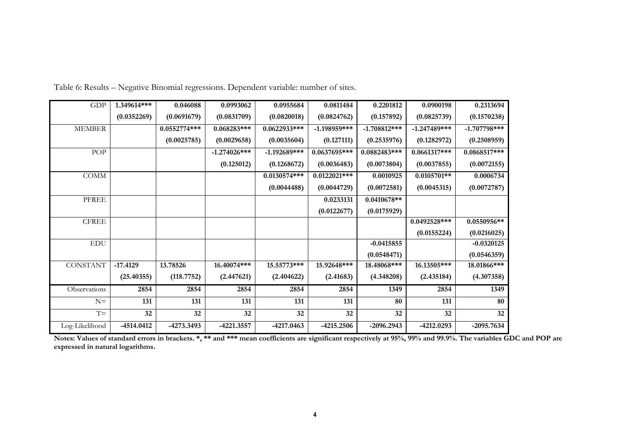| GDP             | 1.349614***  | 0.046088       | 0.0993062       | 0.0955684      | 0.0811484       | 0.2201812      | 0.0900198      | 0.2313694      |
|-----------------|--------------|----------------|-----------------|----------------|-----------------|----------------|----------------|----------------|
|                 | (0.0352269)  | (0.0691679)    | (0.0831709)     | (0.0820018)    | (0.0824762)     | (0.157892)     | (0.0825739)    | (0.1570238)    |
| <b>MEMBER</b>   |              | $0.0552774***$ | 0.068283***     | 0.0622933***   | $-1.198959$ *** | $-1.708812***$ | $-1.247489***$ | $-1.707798***$ |
|                 |              | (0.0025785)    | (0.0029658)     | (0.0035604)    | (0.127111)      | (0.2535976)    | (0.1282972)    | (0.2508959)    |
| POP             |              |                | $-1.274026$ *** | $-1.192689***$ | $0.0637695***$  | 0.0882483***   | $0.0661317***$ | $0.0868517***$ |
|                 |              |                | (0.125012)      | (0.1268672)    | (0.0036483)     | (0.0073804)    | (0.0037855)    | (0.0072155)    |
| <b>COMM</b>     |              |                |                 | $0.0130574***$ | $0.0122021***$  | 0.0010925      | $0.0105701**$  | 0.0006734      |
|                 |              |                |                 | (0.0044488)    | (0.0044729)     | (0.0072581)    | (0.0045315)    | (0.0072787)    |
| PFREE           |              |                |                 |                | 0.0233131       | $0.0410678**$  |                |                |
|                 |              |                |                 |                | (0.0122677)     | (0.0175929)    |                |                |
| <b>CFREE</b>    |              |                |                 |                |                 |                | $0.0492528***$ | 0.0550956**    |
|                 |              |                |                 |                |                 |                | (0.0155224)    | (0.0216025)    |
| ${\rm EDU}$     |              |                |                 |                |                 | $-0.0415855$   |                | $-0.0320125$   |
|                 |              |                |                 |                |                 | (0.0548471)    |                | (0.0546359)    |
| <b>CONSTANT</b> | $-17.4129$   | 13.78526       | 16.40074***     | 15.55773***    | 15.92648***     | 18.48068***    | 16.13505***    | 18.01866***    |
|                 | (25.40355)   | (118.7752)     | (2.447621)      | (2.404622)     | (2.41683)       | (4.348208)     | (2.435184)     | (4.307358)     |
| Observations    | 2854         | 2854           | 2854            | 2854           | 2854            | 1349           | 2854           | 1349           |
| $N =$           | 131          | 131            | 131             | 131            | 131             | 80             | 131            | 80             |
| $T =$           | 32           | 32             | 32              | 32             | 32              | 32             | 32             | 32             |
| Log-Likelihood  | $-4514.0412$ | -4273.3493     | $-4221.3557$    | $-4217.0463$   | -4215.2506      | $-2096.2943$   | -4212.0293     | $-2095.7634$   |

Table 6: Results – Negative Binomial regressions. Dependent variable: number of sites**.**

**Notes: Values of standard errors in brackets. \*, \*\* and \*\*\* mean coefficients are significant respectively at 95%, 99% and 99.9%. The variables GDC and POP are expressed in natural logarithms.**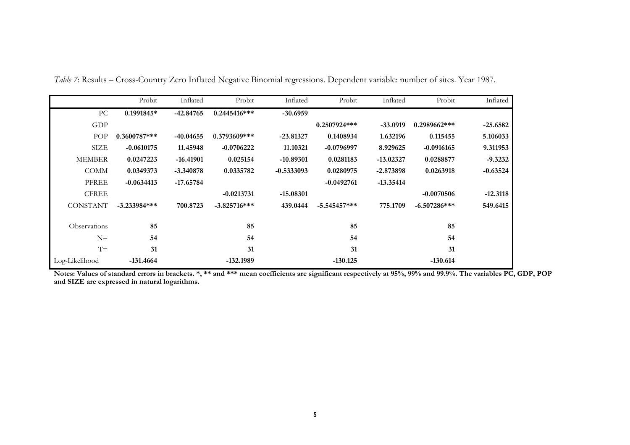|                 | Probit         | Inflated    | Probit         | Inflated     | Probit         | Inflated    | Probit         | Inflated   |
|-----------------|----------------|-------------|----------------|--------------|----------------|-------------|----------------|------------|
| РC              | $0.1991845*$   | $-42.84765$ | $0.2445416***$ | $-30.6959$   |                |             |                |            |
| GDP             |                |             |                |              | $0.2507924***$ | $-33.0919$  | 0.2989662***   | $-25.6582$ |
| POP             | $0.3600787***$ | $-40.04655$ | 0.3793609***   | $-23.81327$  | 0.1408934      | 1.632196    | 0.115455       | 5.106033   |
| SIZE            | $-0.0610175$   | 11.45948    | $-0.0706222$   | 11.10321     | $-0.0796997$   | 8.929625    | $-0.0916165$   | 9.311953   |
| <b>MEMBER</b>   | 0.0247223      | $-16.41901$ | 0.025154       | $-10.89301$  | 0.0281183      | $-13.02327$ | 0.0288877      | $-9.3232$  |
| <b>COMM</b>     | 0.0349373      | $-3.340878$ | 0.0335782      | $-0.5333093$ | 0.0280975      | $-2.873898$ | 0.0263918      | $-0.63524$ |
| <b>PFREE</b>    | $-0.0634413$   | $-17.65784$ |                |              | $-0.0492761$   | $-13.35414$ |                |            |
| <b>CFREE</b>    |                |             | $-0.0213731$   | $-15.08301$  |                |             | $-0.0070506$   | $-12.3118$ |
| <b>CONSTANT</b> | $-3.233984***$ | 700.8723    | $-3.825716***$ | 439.0444     | $-5.545457***$ | 775.1709    | $-6.507286***$ | 549.6415   |
| Observations    | 85             |             | 85             |              | 85             |             | 85             |            |
| $N =$           | 54             |             | 54             |              | 54             |             | 54             |            |
| $T =$           | 31             |             | 31             |              | 31             |             | 31             |            |
| Log-Likelihood  | -131.4664      |             | -132.1989      |              | $-130.125$     |             | $-130.614$     |            |

*Table 7*: Results – Cross-Country Zero Inflated Negative Binomial regressions. Dependent variable: number of sites. Year 1987.

**Notes: Values of standard errors in brackets. \*, \*\* and \*\*\* mean coefficients are significant respectively at 95%, 99% and 99.9%. The variables PC, GDP, POP and SIZE are expressed in natural logarithms.**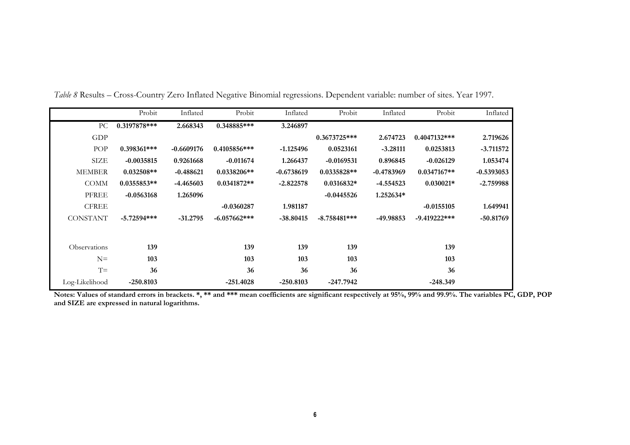|                 | Probit         | Inflated     | Probit         | Inflated     | Probit         | Inflated     | Probit          | Inflated     |
|-----------------|----------------|--------------|----------------|--------------|----------------|--------------|-----------------|--------------|
| PC.             | $0.3197878***$ | 2.668343     | 0.348885***    | 3.246897     |                |              |                 |              |
| <b>GDP</b>      |                |              |                |              | $0.3673725***$ | 2.674723     | $0.4047132***$  | 2.719626     |
| POP             | $0.398361***$  | $-0.6609176$ | $0.4105856***$ | $-1.125496$  | 0.0523161      | $-3.28111$   | 0.0253813       | $-3.711572$  |
| SIZE            | $-0.0035815$   | 0.9261668    | $-0.011674$    | 1.266437     | $-0.0169531$   | 0.896845     | $-0.026129$     | 1.053474     |
| <b>MEMBER</b>   | $0.032508**$   | $-0.488621$  | $0.0338206**$  | $-0.6738619$ | $0.0335828**$  | $-0.4783969$ | $0.0347167**$   | $-0.5393053$ |
| <b>COMM</b>     | $0.0355853**$  | -4.465603    | $0.0341872**$  | $-2.822578$  | $0.0316832*$   | $-4.554523$  | $0.030021*$     | $-2.759988$  |
| <b>PFREE</b>    | $-0.0563168$   | 1.265096     |                |              | $-0.0445526$   | 1.252634*    |                 |              |
| <b>CFREE</b>    |                |              | $-0.0360287$   | 1.981187     |                |              | $-0.0155105$    | 1.649941     |
| <b>CONSTANT</b> | $-5.72594***$  | $-31,2795$   | $-6.057662***$ | $-38.80415$  | $-8.758481***$ | -49.98853    | $-9.419222$ *** | $-50.81769$  |
| Observations    | 139            |              | 139            | 139          | 139            |              | 139             |              |
| $N =$           | 103            |              | 103            | 103          | 103            |              | 103             |              |
| $T =$           | 36             |              | 36             | 36           | 36             |              | 36              |              |
| Log-Likelihood  | $-250.8103$    |              | $-251.4028$    | $-250.8103$  | $-247.7942$    |              | $-248.349$      |              |

*Table 8* Results – Cross-Country Zero Inflated Negative Binomial regressions. Dependent variable: number of sites. Year 1997.

**Notes: Values of standard errors in brackets. \*, \*\* and \*\*\* mean coefficients are significant respectively at 95%, 99% and 99.9%. The variables PC, GDP, POP and SIZE are expressed in natural logarithms.**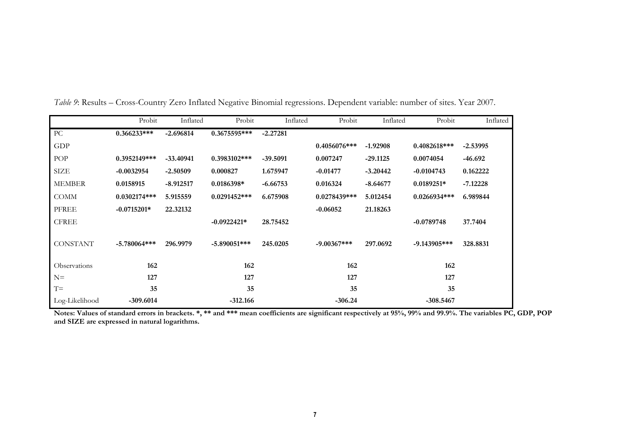|                 | Probit         | Inflated    | Probit         | Inflated   | Probit         | Inflated   | Probit         | Inflated   |
|-----------------|----------------|-------------|----------------|------------|----------------|------------|----------------|------------|
| PC              | $0.366233***$  | $-2.696814$ | 0.3675595***   | $-2.27281$ |                |            |                |            |
| GDP             |                |             |                |            | $0.4056076***$ | $-1.92908$ | $0.4082618***$ | $-2.53995$ |
| POP             | $0.3952149***$ | $-33.40941$ | 0.3983102***   | $-39.5091$ | 0.007247       | $-29.1125$ | 0.0074054      | $-46.692$  |
| SIZE            | $-0.0032954$   | $-2.50509$  | 0.000827       | 1.675947   | $-0.01477$     | $-3.20442$ | $-0.0104743$   | 0.162222   |
| <b>MEMBER</b>   | 0.0158915      | $-8.912517$ | $0.0186398*$   | $-6.66753$ | 0.016324       | $-8.64677$ | $0.0189251*$   | $-7.12228$ |
| <b>COMM</b>     | $0.0302174***$ | 5.915559    | $0.0291452***$ | 6.675908   | $0.0278439***$ | 5.012454   | $0.0266934***$ | 6.989844   |
| <b>PFREE</b>    | $-0.0715201*$  | 22.32132    |                |            | $-0.06052$     | 21.18263   |                |            |
| <b>CFREE</b>    |                |             | $-0.0922421*$  | 28.75452   |                |            | $-0.0789748$   | 37.7404    |
| <b>CONSTANT</b> | $-5.780064***$ | 296.9979    | $-5.890051***$ | 245.0205   | $-9.00367***$  | 297.0692   | $-9.143905***$ | 328.8831   |
| Observations    | 162            |             | 162            |            | 162            |            | 162            |            |
| $N =$           | 127            |             | 127            |            | 127            |            | 127            |            |
| $T =$           | 35             |             | 35             |            | 35             |            | 35             |            |
| Log-Likelihood  | $-309.6014$    |             | $-312.166$     |            | $-306.24$      |            | $-308.5467$    |            |

*Table 9*: Results – Cross-Country Zero Inflated Negative Binomial regressions. Dependent variable: number of sites. Year 2007.

**Notes: Values of standard errors in brackets. \*, \*\* and \*\*\* mean coefficients are significant respectively at 95%, 99% and 99.9%. The variables PC, GDP, POP and SIZE are expressed in natural logarithms.**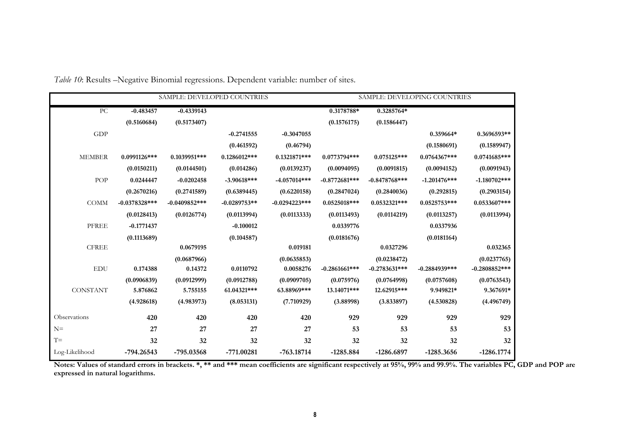|                |                 | SAMPLE: DEVELOPED COUNTRIES |                |                  | SAMPLE: DEVELOPING COUNTRIES |                  |                 |                 |
|----------------|-----------------|-----------------------------|----------------|------------------|------------------------------|------------------|-----------------|-----------------|
| PC.            | $-0.483457$     | $-0.4339143$                |                |                  | 0.3178788*                   | 0.3285764*       |                 |                 |
|                | (0.5160684)     | (0.5173407)                 |                |                  | (0.1576175)                  | (0.1586447)      |                 |                 |
| <b>GDP</b>     |                 |                             | $-0.2741555$   | $-0.3047055$     |                              |                  | 0.359664*       | 0.3696593**     |
|                |                 |                             | (0.461592)     | (0.46794)        |                              |                  | (0.1580691)     | (0.1589947)     |
| <b>MEMBER</b>  | $0.0991126$ *** | $0.1039951***$              | $0.1286012***$ | 0.1321871***     | $0.0773794***$               | $0.075125***$    | $0.0764367***$  | 0.0741685***    |
|                | (0.0150211)     | (0.0144501)                 | (0.014286)     | (0.0139237)      | (0.0094095)                  | (0.0091815)      | (0.0094152)     | (0.0091943)     |
| POP            | 0.0244447       | $-0.0202458$                | $-3.90618***$  | $-4.057014***$   | $-0.8772681***$              | $-0.8478768$ *** | $-1.201476$ *** | $-1.180702***$  |
|                | (0.2670216)     | (0.2741589)                 | (0.6389445)    | (0.6220158)      | (0.2847024)                  | (0.2840036)      | (0.292815)      | (0.2903154)     |
| <b>COMM</b>    | $-0.0378328***$ | $-0.0409852***$             | $-0.0289753**$ | $-0.0294223$ *** | 0.0525018***                 | 0.0532321***     | $0.0525753***$  | $0.0533607***$  |
|                | (0.0128413)     | (0.0126774)                 | (0.0113994)    | (0.0113333)      | (0.0113493)                  | (0.0114219)      | (0.0113257)     | (0.0113994)     |
| PFREE          | $-0.1771437$    |                             | $-0.100012$    |                  | 0.0339776                    |                  | 0.0337936       |                 |
|                | (0.1113689)     |                             | (0.104587)     |                  | (0.0181676)                  |                  | (0.0181164)     |                 |
| <b>CFREE</b>   |                 | 0.0679195                   |                | 0.019181         |                              | 0.0327296        |                 | 0.032365        |
|                |                 | (0.0687966)                 |                | (0.0635853)      |                              | (0.0238472)      |                 | (0.0237765)     |
| <b>EDU</b>     | 0.174388        | 0.14372                     | 0.0110792      | 0.0058276        | $-0.2861661***$              | $-0.2783631***$  | $-0.2884939***$ | $-0.2808852***$ |
|                | (0.0906839)     | (0.0912999)                 | (0.0912788)    | (0.0909705)      | (0.075976)                   | (0.0764998)      | (0.0757608)     | (0.0763543)     |
| CONSTANT       | 5.876862        | 5.755155                    | 61.04321***    | 63.88969***      | 13.14071***                  | 12.62915***      | 9.949821*       | 9.367691*       |
|                | (4.928618)      | (4.983973)                  | (8.053131)     | (7.710929)       | (3.88998)                    | (3.833897)       | (4.530828)      | (4.496749)      |
| Observations   | 420             | 420                         | 420            | 420              | 929                          | 929              | 929             | 929             |
| $N =$          | 27              | 27                          | 27             | 27               | 53                           | 53               | 53              | 53              |
| $T =$          | 32              | 32                          | 32             | 32               | 32                           | 32               | 32              | 32              |
| Log-Likelihood | -794.26543      | -795.03568                  | -771.00281     | $-763.18714$     | $-1285.884$                  | -1286.6897       | $-1285.3656$    | $-1286.1774$    |

*Table 10*: Results –Negative Binomial regressions. Dependent variable: number of sites.

**Notes: Values of standard errors in brackets. \*, \*\* and \*\*\* mean coefficients are significant respectively at 95%, 99% and 99.9%. The variables PC, GDP and POP are expressed in natural logarithms.**